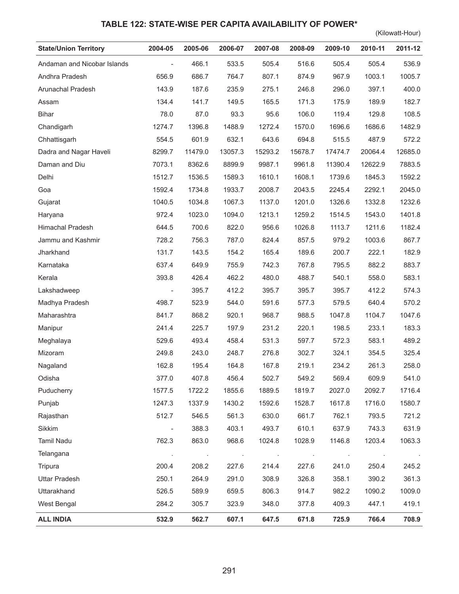## **TABLE 122: STATE-WISE PER CAPITA AVAILABILITY OF POWER\***

(Kilowatt-Hour)

| <b>State/Union Territory</b> | 2004-05                      | 2005-06 | 2006-07 | 2007-08        | 2008-09       | 2009-10 | 2010-11        | 2011-12 |
|------------------------------|------------------------------|---------|---------|----------------|---------------|---------|----------------|---------|
| Andaman and Nicobar Islands  | $\overline{\phantom{a}}$     | 466.1   | 533.5   | 505.4          | 516.6         | 505.4   | 505.4          | 536.9   |
| Andhra Pradesh               | 656.9                        | 686.7   | 764.7   | 807.1          | 874.9         | 967.9   | 1003.1         | 1005.7  |
| Arunachal Pradesh            | 143.9                        | 187.6   | 235.9   | 275.1          | 246.8         | 296.0   | 397.1          | 400.0   |
| Assam                        | 134.4                        | 141.7   | 149.5   | 165.5          | 171.3         | 175.9   | 189.9          | 182.7   |
| <b>Bihar</b>                 | 78.0                         | 87.0    | 93.3    | 95.6           | 106.0         | 119.4   | 129.8          | 108.5   |
| Chandigarh                   | 1274.7                       | 1396.8  | 1488.9  | 1272.4         | 1570.0        | 1696.6  | 1686.6         | 1482.9  |
| Chhattisgarh                 | 554.5                        | 601.9   | 632.1   | 643.6          | 694.8         | 515.5   | 487.9          | 572.2   |
| Dadra and Nagar Haveli       | 8299.7                       | 11479.0 | 13057.3 | 15293.2        | 15678.7       | 17474.7 | 20064.4        | 12685.0 |
| Daman and Diu                | 7073.1                       | 8362.6  | 8899.9  | 9987.1         | 9961.8        | 11390.4 | 12622.9        | 7883.5  |
| Delhi                        | 1512.7                       | 1536.5  | 1589.3  | 1610.1         | 1608.1        | 1739.6  | 1845.3         | 1592.2  |
| Goa                          | 1592.4                       | 1734.8  | 1933.7  | 2008.7         | 2043.5        | 2245.4  | 2292.1         | 2045.0  |
| Gujarat                      | 1040.5                       | 1034.8  | 1067.3  | 1137.0         | 1201.0        | 1326.6  | 1332.8         | 1232.6  |
| Haryana                      | 972.4                        | 1023.0  | 1094.0  | 1213.1         | 1259.2        | 1514.5  | 1543.0         | 1401.8  |
| Himachal Pradesh             | 644.5                        | 700.6   | 822.0   | 956.6          | 1026.8        | 1113.7  | 1211.6         | 1182.4  |
| Jammu and Kashmir            | 728.2                        | 756.3   | 787.0   | 824.4          | 857.5         | 979.2   | 1003.6         | 867.7   |
| Jharkhand                    | 131.7                        | 143.5   | 154.2   | 165.4          | 189.6         | 200.7   | 222.1          | 182.9   |
| Karnataka                    | 637.4                        | 649.9   | 755.9   | 742.3          | 767.8         | 795.5   | 882.2          | 883.7   |
| Kerala                       | 393.8                        | 426.4   | 462.2   | 480.0          | 488.7         | 540.1   | 558.0          | 583.1   |
| Lakshadweep                  | $\qquad \qquad \blacksquare$ | 395.7   | 412.2   | 395.7          | 395.7         | 395.7   | 412.2          | 574.3   |
| Madhya Pradesh               | 498.7                        | 523.9   | 544.0   | 591.6          | 577.3         | 579.5   | 640.4          | 570.2   |
| Maharashtra                  | 841.7                        | 868.2   | 920.1   | 968.7          | 988.5         | 1047.8  | 1104.7         | 1047.6  |
| Manipur                      | 241.4                        | 225.7   | 197.9   | 231.2          | 220.1         | 198.5   | 233.1          | 183.3   |
| Meghalaya                    | 529.6                        | 493.4   | 458.4   | 531.3          | 597.7         | 572.3   | 583.1          | 489.2   |
| Mizoram                      | 249.8                        | 243.0   | 248.7   | 276.8          | 302.7         | 324.1   | 354.5          | 325.4   |
| Nagaland                     | 162.8                        | 195.4   | 164.8   | 167.8          | 219.1         | 234.2   | 261.3          | 258.0   |
| Odisha                       | 377.0                        | 407.8   | 456.4   | 502.7          | 549.2         | 569.4   | 609.9          | 541.0   |
| Puducherry                   | 1577.5                       | 1722.2  | 1855.6  | 1889.5         | 1819.7        | 2027.0  | 2092.7         | 1716.4  |
| Punjab                       | 1247.3                       | 1337.9  | 1430.2  | 1592.6         | 1528.7        | 1617.8  | 1716.0         | 1580.7  |
| Rajasthan                    | 512.7                        | 546.5   | 561.3   | 630.0          | 661.7         | 762.1   | 793.5          | 721.2   |
| Sikkim                       | $\overline{\phantom{0}}$     | 388.3   | 403.1   | 493.7          | 610.1         | 637.9   | 743.3          | 631.9   |
| Tamil Nadu                   | 762.3                        | 863.0   | 968.6   | 1024.8         | 1028.9        | 1146.8  | 1203.4         | 1063.3  |
| Telangana                    | $\cdot$                      | $\cdot$ | $\sim$  | $\blacksquare$ | $\mathcal{A}$ | $\cdot$ | $\blacksquare$ |         |
| Tripura                      | 200.4                        | 208.2   | 227.6   | 214.4          | 227.6         | 241.0   | 250.4          | 245.2   |
| <b>Uttar Pradesh</b>         | 250.1                        | 264.9   | 291.0   | 308.9          | 326.8         | 358.1   | 390.2          | 361.3   |
| Uttarakhand                  | 526.5                        | 589.9   | 659.5   | 806.3          | 914.7         | 982.2   | 1090.2         | 1009.0  |
| West Bengal                  | 284.2                        | 305.7   | 323.9   | 348.0          | 377.8         | 409.3   | 447.1          | 419.1   |
| <b>ALL INDIA</b>             | 532.9                        | 562.7   | 607.1   | 647.5          | 671.8         | 725.9   | 766.4          | 708.9   |